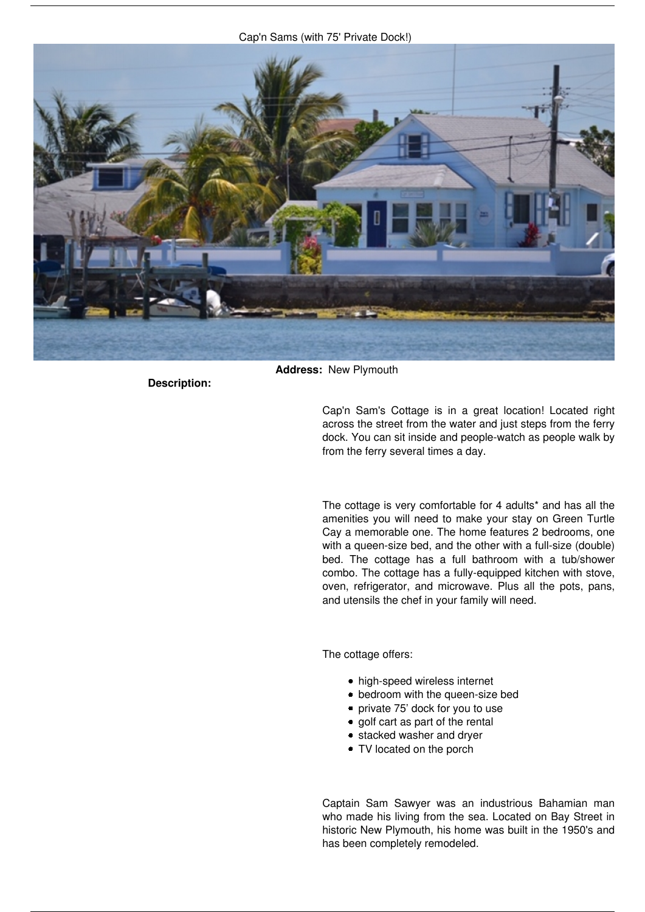*Cap'n Sams (with 75' Private Dock!)*



**Description:** 

**Address:** *New Plymouth*

*Cap'n Sam's Cottage is in a great location! Located right across the street from the water and just steps from the ferry dock. You can sit inside and people-watch as people walk by from the ferry several times a day.*

*The cottage is very comfortable for 4 adults\* and has all the amenities you will need to make your stay on Green Turtle Cay a memorable one. The home features 2 bedrooms, one with a queen-size bed, and the other with a full-size (double) bed. The cottage has a full bathroom with a tub/shower combo. The cottage has a fully-equipped kitchen with stove, oven, refrigerator, and microwave. Plus all the pots, pans, and utensils the chef in your family will need.*

*The cottage offers:*

- *high-speed wireless internet*
- *bedroom with the queen-size bed*
- *private 75' dock for you to use*
- *golf cart as part of the rental*
- *stacked washer and dryer*
- *TV located on the porch*

*Captain Sam Sawyer was an industrious Bahamian man who made his living from the sea. Located on Bay Street in historic New Plymouth, his home was built in the 1950's and has been completely remodeled.*